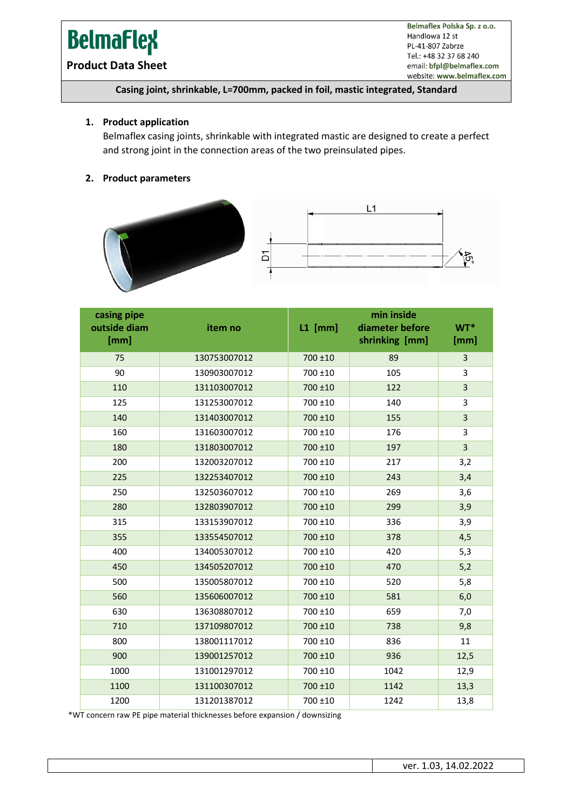# **BelmaFlex**

Belmaflex Polska Sp. z o.o. Handlowa 12 st PL-41-807 Zabrze Tel.: +48 32 37 68 240 email: bfpl@belmaflex.com website: www.belmaflex.com

# **Product Data Sheet**

## **Casing joint, shrinkable, L=700mm, packed in foil, mastic integrated, Standard**

#### **1. Product application**

Belmaflex casing joints, shrinkable with integrated mastic are designed to create a perfect and strong joint in the connection areas of the two preinsulated pipes.

# **2. Product parameters**





| casing pipe<br>outside diam<br>[mm] | item no      | $L1$ [mm] | min inside<br>diameter before<br>shrinking [mm] | WT*<br>[mm]    |
|-------------------------------------|--------------|-----------|-------------------------------------------------|----------------|
| 75                                  | 130753007012 | 700 ±10   | 89                                              | 3              |
| 90                                  | 130903007012 | 700 ±10   | 105                                             | 3              |
| 110                                 | 131103007012 | 700 ±10   | 122                                             | 3              |
| 125                                 | 131253007012 | 700 ±10   | 140                                             | 3              |
| 140                                 | 131403007012 | 700 ±10   | 155                                             | 3              |
| 160                                 | 131603007012 | 700 ±10   | 176                                             | 3              |
| 180                                 | 131803007012 | 700 ±10   | 197                                             | $\overline{3}$ |
| 200                                 | 132003207012 | 700 ±10   | 217                                             | 3,2            |
| 225                                 | 132253407012 | 700 ±10   | 243                                             | 3,4            |
| 250                                 | 132503607012 | 700 ±10   | 269                                             | 3,6            |
| 280                                 | 132803907012 | 700 ±10   | 299                                             | 3,9            |
| 315                                 | 133153907012 | 700 ±10   | 336                                             | 3,9            |
| 355                                 | 133554507012 | 700 ±10   | 378                                             | 4,5            |
| 400                                 | 134005307012 | 700 ±10   | 420                                             | 5,3            |
| 450                                 | 134505207012 | 700 ±10   | 470                                             | 5,2            |
| 500                                 | 135005807012 | 700 ±10   | 520                                             | 5,8            |
| 560                                 | 135606007012 | 700 ±10   | 581                                             | 6,0            |
| 630                                 | 136308807012 | 700 ±10   | 659                                             | 7,0            |
| 710                                 | 137109807012 | 700 ±10   | 738                                             | 9,8            |
| 800                                 | 138001117012 | 700 ±10   | 836                                             | 11             |
| 900                                 | 139001257012 | 700 ±10   | 936                                             | 12,5           |
| 1000                                | 131001297012 | 700 ±10   | 1042                                            | 12,9           |
| 1100                                | 131100307012 | 700 ±10   | 1142                                            | 13,3           |
| 1200                                | 131201387012 | 700 ±10   | 1242                                            | 13,8           |

\*WT concern raw PE pipe material thicknesses before expansion / downsizing